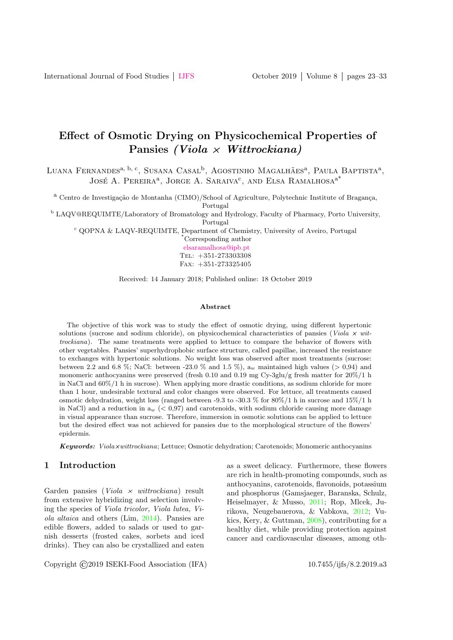# Effect of Osmotic Drying on Physicochemical Properties of Pansies (Viola  $\times$  Wittrockiana)

Luana Fernandes<sup>a, b, c</sup>, Susana Casal<sup>b</sup>, Agostinho Magalhães<sup>a</sup>, Paula Baptista<sup>a</sup>, JOSÉ A. PEREIRA<sup>a</sup>, JORGE A. SARAIVA<sup>c</sup>, AND ELSA RAMALHOSA<sup>a\*</sup>

<sup>a</sup> Centro de Investigação de Montanha (CIMO)/School of Agriculture, Polytechnic Institute of Bragança,

Portugal

<sup>b</sup> LAQV@REQUIMTE/Laboratory of Bromatology and Hydrology, Faculty of Pharmacy, Porto University, Portugal

<sup>c</sup> QOPNA & LAQV-REQUIMTE, Department of Chemistry, University of Aveiro, Portugal

\*Corresponding author [elsaramalhosa@ipb.pt](mailto: elsaramalhosa@ipb.pt) Tel: +351-273303308 Fax: +351-273325405

Received: 14 January 2018; Published online: 18 October 2019

#### Abstract

The objective of this work was to study the effect of osmotic drying, using different hypertonic solutions (sucrose and sodium chloride), on physicochemical characteristics of pansies (Viola  $\times$  wittrockiana). The same treatments were applied to lettuce to compare the behavior of flowers with other vegetables. Pansies' superhydrophobic surface structure, called papillae, increased the resistance to exchanges with hypertonic solutions. No weight loss was observed after most treatments (sucrose: between 2.2 and 6.8 %; NaCl: between -23.0 % and 1.5 %),  $a_w$  maintained high values (> 0,94) and monomeric anthocyanins were preserved (fresh 0.10 and 0.19 mg Cy-3glu/g fresh matter for 20%/1 h in NaCl and 60%/1 h in sucrose). When applying more drastic conditions, as sodium chloride for more than 1 hour, undesirable textural and color changes were observed. For lettuce, all treatments caused osmotic dehydration, weight loss (ranged between -9.3 to -30.3 % for  $80\%/1$  h in sucrose and  $15\%/1$  h in NaCl) and a reduction in  $a_w$  ( $\lt 0.97$ ) and carotenoids, with sodium chloride causing more damage in visual appearance than sucrose. Therefore, immersion in osmotic solutions can be applied to lettuce but the desired effect was not achieved for pansies due to the morphological structure of the flowers' epidermis.

**Keywords:** Viola×wittrockiana; Lettuce; Osmotic dehydration; Carotenoids; Monomeric anthocyanins

### 1 Introduction

Garden pansies (*Viola*  $\times$  *wittrockiana*) result from extensive hybridizing and selection involving the species of Viola tricolor, Viola lutea, Viola altaica and others (Lim, [2014\)](#page-9-0). Pansies are edible flowers, added to salads or used to garnish desserts (frosted cakes, sorbets and iced drinks). They can also be crystallized and eaten as a sweet delicacy. Furthermore, these flowers are rich in health-promoting compounds, such as anthocyanins, carotenoids, flavonoids, potassium and phosphorus (Gamsjaeger, Baranska, Schulz, Heiselmayer, & Musso, [2011;](#page-8-0) Rop, Mlcek, Jurikova, Neugebauerova, & Vabkova, [2012;](#page-9-1) Vukics, Kery, & Guttman, [2008\)](#page-9-2), contributing for a healthy diet, while providing protection against cancer and cardiovascular diseases, among oth-

Copyright ©2019 ISEKI-Food Association (IFA) 10.7455/ijfs/8.2.2019.a3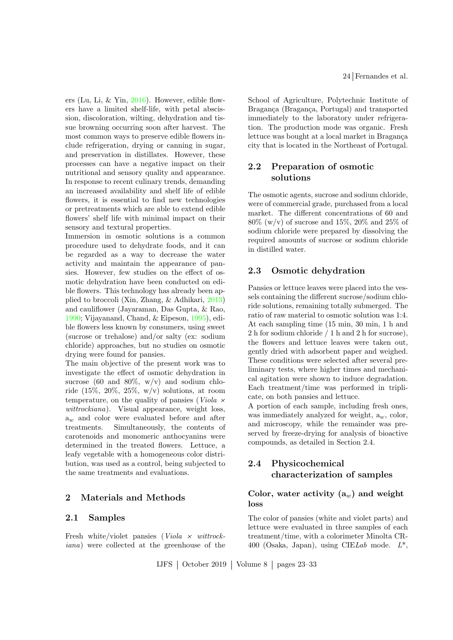ers (Lu, Li, & Yin, [2016\)](#page-9-3). However, edible flowers have a limited shelf-life, with petal abscission, discoloration, wilting, dehydration and tissue browning occurring soon after harvest. The most common ways to preserve edible flowers include refrigeration, drying or canning in sugar, and preservation in distillates. However, these processes can have a negative impact on their nutritional and sensory quality and appearance. In response to recent culinary trends, demanding an increased availability and shelf life of edible flowers, it is essential to find new technologies or pretreatments which are able to extend edible flowers' shelf life with minimal impact on their sensory and textural properties.

Immersion in osmotic solutions is a common procedure used to dehydrate foods, and it can be regarded as a way to decrease the water activity and maintain the appearance of pansies. However, few studies on the effect of osmotic dehydration have been conducted on edible flowers. This technology has already been applied to broccoli (Xin, Zhang, & Adhikari, [2013\)](#page-9-4) and cauliflower (Jayaraman, Das Gupta, & Rao, [1990;](#page-8-1) Vijayanand, Chand, & Eipeson, [1995\)](#page-9-5), edible flowers less known by consumers, using sweet (sucrose or trehalose) and/or salty (ex: sodium chloride) approaches, but no studies on osmotic drying were found for pansies.

The main objective of the present work was to investigate the effect of osmotic dehydration in sucrose (60 and 80%,  $w/v$ ) and sodium chloride  $(15\%, 20\%, 25\%, w/v)$  solutions, at room temperature, on the quality of pansies (Viola  $\times$ wittrockiana). Visual appearance, weight loss,  $a_w$  and color were evaluated before and after treatments. Simultaneously, the contents of carotenoids and monomeric anthocyanins were determined in the treated flowers. Lettuce, a leafy vegetable with a homogeneous color distribution, was used as a control, being subjected to the same treatments and evaluations.

### 2 Materials and Methods

#### 2.1 Samples

Fresh white/violet pansies ( $Viola \times$  wittrockiana) were collected at the greenhouse of the School of Agriculture, Polytechnic Institute of Bragança (Bragança, Portugal) and transported immediately to the laboratory under refrigeration. The production mode was organic. Fresh lettuce was bought at a local market in Bragança city that is located in the Northeast of Portugal.

### 2.2 Preparation of osmotic solutions

The osmotic agents, sucrose and sodium chloride, were of commercial grade, purchased from a local market. The different concentrations of 60 and  $80\%$  (w/v) of sucrose and 15%, 20% and 25% of sodium chloride were prepared by dissolving the required amounts of sucrose or sodium chloride in distilled water.

#### 2.3 Osmotic dehydration

Pansies or lettuce leaves were placed into the vessels containing the different sucrose/sodium chloride solutions, remaining totally submerged. The ratio of raw material to osmotic solution was 1:4. At each sampling time (15 min, 30 min, 1 h and 2 h for sodium chloride / 1 h and 2 h for sucrose), the flowers and lettuce leaves were taken out, gently dried with adsorbent paper and weighed. These conditions were selected after several preliminary tests, where higher times and mechanical agitation were shown to induce degradation. Each treatment/time was performed in triplicate, on both pansies and lettuce.

A portion of each sample, including fresh ones, was immediately analyzed for weight,  $a_w$ , color, and microscopy, while the remainder was preserved by freeze-drying for analysis of bioactive compounds, as detailed in Section 2.4.

## 2.4 Physicochemical characterization of samples

### Color, water activity  $(a_w)$  and weight loss

The color of pansies (white and violet parts) and lettuce were evaluated in three samples of each treatment/time, with a colorimeter Minolta CR-400 (Osaka, Japan), using CIELab mode.  $L^*$ .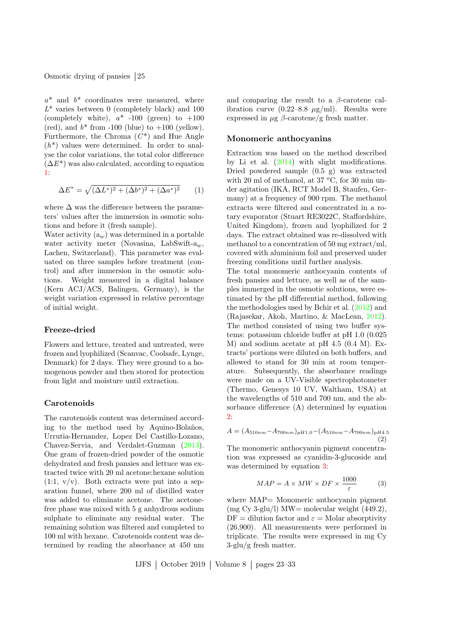$a^*$  and  $b^*$  coordinates were measured, where  $L^*$  varies between 0 (completely black) and 100 (completely white),  $a^*$  -100 (green) to  $+100$ (red), and  $b^*$  from -100 (blue) to  $+100$  (yellow). Furthermore, the Chroma  $(C^*)$  and Hue Angle  $(h^*)$  values were determined. In order to analyse the color variations, the total color difference  $(\Delta E^*)$  was also calculated, according to equation [1:](#page-2-0)

<span id="page-2-0"></span>
$$
\Delta E^* = \sqrt{(\Delta L^*)^2 + (\Delta b^*)^2 + (\Delta a^*)^2}
$$
 (1)

where  $\Delta$  was the difference between the parameters' values after the immersion in osmotic solutions and before it (fresh sample).

Water activity  $(a_w)$  was determined in a portable water activity meter (Novasina, LabSwift- $a_w$ , Lachen, Switzerland). This parameter was evaluated on three samples before treatment (control) and after immersion in the osmotic solutions. Weight measured in a digital balance (Kern ACJ/ACS, Balingen, Germany), is the weight variation expressed in relative percentage of initial weight.

#### Freeze-dried

Flowers and lettuce, treated and untreated, were frozen and lyophilized (Scanvac, Coolsafe, Lynge, Denmark) for 2 days. They were ground to a homogenous powder and then stored for protection from light and moisture until extraction.

#### Carotenoids

The carotenoids content was determined according to the method used by Aquino-Bolaños, Urrutia-Hernandez, Lopez Del Castillo-Lozano, Chavez-Servia, and Verdalet-Guzman [\(2013\)](#page-8-2). One gram of frozen-dried powder of the osmotic dehydrated and fresh pansies and lettuce was extracted twice with 20 ml acetone:hexane solution  $(1:1, v/v)$ . Both extracts were put into a separation funnel, where 200 ml of distilled water was added to eliminate acetone. The acetonefree phase was mixed with 5 g anhydrous sodium sulphate to eliminate any residual water. The remaining solution was filtered and completed to 100 ml with hexane. Carotenoids content was determined by reading the absorbance at 450 nm and comparing the result to a  $\beta$ -carotene calibration curve  $(0.22-8.8 \mu g/ml)$ . Results were expressed in  $\mu$ g  $\beta$ -carotene/g fresh matter.

#### Monomeric anthocyanins

Extraction was based on the method described by Li et al. [\(2014\)](#page-9-6) with slight modifications. Dried powdered sample (0.5 g) was extracted with 20 ml of methanol, at 37  $\rm{^oC}$ , for 30 min under agitation (IKA, RCT Model B, Staufen, Germany) at a frequency of 900 rpm. The methanol extracts were filtered and concentrated in a rotary evaporator (Stuart RE3022C, Staffordshire, United Kingdom), frozen and lyophilized for 2 days. The extract obtained was re-dissolved with methanol to a concentration of 50 mg extract/ml, covered with aluminium foil and preserved under freezing conditions until further analysis.

The total monomeric anthocyanin contents of fresh pansies and lettuce, as well as of the samples immerged in the osmotic solutions, were estimated by the pH differential method, following the methodologies used by Bchir et al. [\(2012\)](#page-8-3) and (Rajasekar, Akoh, Martino, & MacLean, [2012\)](#page-9-7). The method consisted of using two buffer systems: potassium chloride buffer at pH 1.0 (0.025 M) and sodium acetate at pH 4.5 (0.4 M). Extracts' portions were diluted on both buffers, and allowed to stand for 30 min at room temperature. Subsequently, the absorbance readings were made on a UV-Visible spectrophotometer (Thermo, Genesys 10 UV, Waltham, USA) at the wavelengths of 510 and 700 nm, and the absorbance difference (A) determined by equation [2:](#page-2-1)

<span id="page-2-1"></span>
$$
A = (A_{510nm} - A_{700nm})_{pH1.0} - (A_{510nm} - A_{700nm})_{pH4.5}
$$
\n(2)

The monomeric anthocyanin pigment concentration was expressed as cyanidin-3-glucoside and was determined by equation [3:](#page-2-2)

<span id="page-2-2"></span>
$$
MAP = A \times MW \times DF \times \frac{1000}{\varepsilon} \tag{3}
$$

where MAP= Monomeric anthocyanin pigment  $(mg Cy 3-glu/l) MW= molecular weight (449.2),$  $DF =$  dilution factor and  $\varepsilon =$  Molar absorptivity (26,900). All measurements were performed in triplicate. The results were expressed in mg Cy  $3$ -glu/g fresh matter.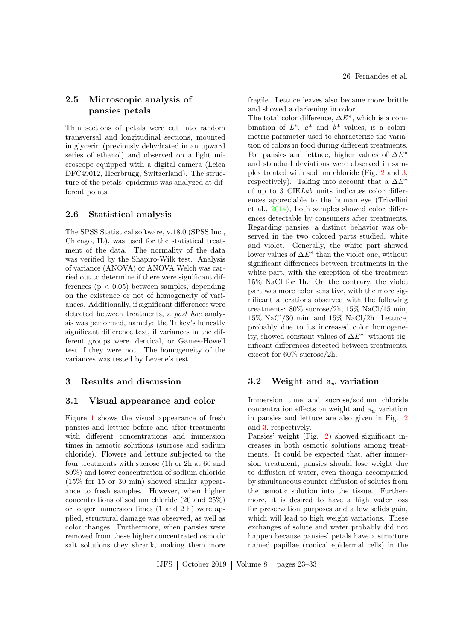### 2.5 Microscopic analysis of pansies petals

Thin sections of petals were cut into random transversal and longitudinal sections, mounted in glycerin (previously dehydrated in an upward series of ethanol) and observed on a light microscope equipped with a digital camera (Leica DFC49012, Heerbrugg, Switzerland). The structure of the petals' epidermis was analyzed at different points.

#### 2.6 Statistical analysis

The SPSS Statistical software, v.18.0 (SPSS Inc., Chicago, IL), was used for the statistical treatment of the data. The normality of the data was verified by the Shapiro-Wilk test. Analysis of variance (ANOVA) or ANOVA Welch was carried out to determine if there were significant differences  $(p < 0.05)$  between samples, depending on the existence or not of homogeneity of variances. Additionally, if significant differences were detected between treatments, a post hoc analysis was performed, namely: the Tukey's honestly significant difference test, if variances in the different groups were identical, or Games-Howell test if they were not. The homogeneity of the variances was tested by Levene's test.

### 3 Results and discussion

#### 3.1 Visual appearance and color

Figure [1](#page-4-0) shows the visual appearance of fresh pansies and lettuce before and after treatments with different concentrations and immersion times in osmotic solutions (sucrose and sodium chloride). Flowers and lettuce subjected to the four treatments with sucrose (1h or 2h at 60 and 80%) and lower concentration of sodium chloride (15% for 15 or 30 min) showed similar appearance to fresh samples. However, when higher concentrations of sodium chloride (20 and 25%) or longer immersion times (1 and 2 h) were applied, structural damage was observed, as well as color changes. Furthermore, when pansies were removed from these higher concentrated osmotic salt solutions they shrank, making them more fragile. Lettuce leaves also became more brittle and showed a darkening in color.

The total color difference,  $\Delta E^*$ , which is a combination of  $L^*$ ,  $a^*$  and  $b^*$  values, is a colorimetric parameter used to characterize the variation of colors in food during different treatments. For pansies and lettuce, higher values of  $\Delta E^*$ and standard deviations were observed in samples treated with sodium chloride (Fig. [2](#page-5-0) and [3,](#page-5-1) respectively). Taking into account that a  $\Delta E^*$ of up to 3 CIELab units indicates color differences appreciable to the human eye (Trivellini et al., [2014\)](#page-9-8), both samples showed color differences detectable by consumers after treatments. Regarding pansies, a distinct behavior was observed in the two colored parts studied, white and violet. Generally, the white part showed lower values of  $\Delta E^*$  than the violet one, without significant differences between treatments in the white part, with the exception of the treatment 15% NaCl for 1h. On the contrary, the violet part was more color sensitive, with the more significant alterations observed with the following treatments: 80% sucrose/2h, 15% NaCl/15 min, 15% NaCl/30 min, and 15% NaCl/2h. Lettuce, probably due to its increased color homogeneity, showed constant values of  $\Delta E^*$ , without significant differences detected between treatments, except for 60% sucrose/2h.

### 3.2 Weight and  $a_w$  variation

Immersion time and sucrose/sodium chloride concentration effects on weight and  $a_w$  variation in pansies and lettuce are also given in Fig. [2](#page-5-0) and [3,](#page-5-1) respectively.

Pansies' weight (Fig. [2\)](#page-5-0) showed significant increases in both osmotic solutions among treatments. It could be expected that, after immersion treatment, pansies should lose weight due to diffusion of water, even though accompanied by simultaneous counter diffusion of solutes from the osmotic solution into the tissue. Furthermore, it is desired to have a high water loss for preservation purposes and a low solids gain, which will lead to high weight variations. These exchanges of solute and water probably did not happen because pansies' petals have a structure named papillae (conical epidermal cells) in the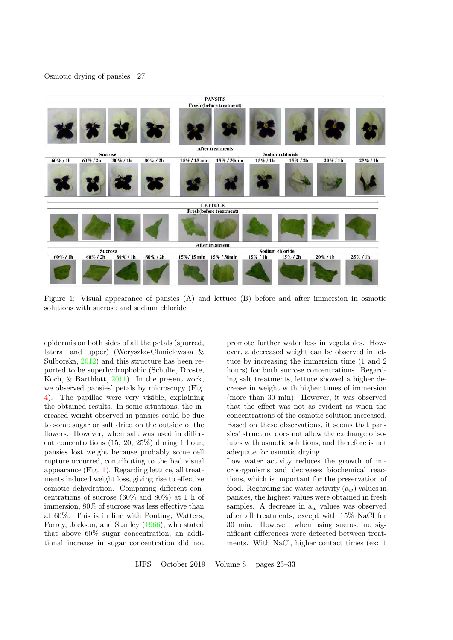

<span id="page-4-0"></span>Figure 1: Visual appearance of pansies (A) and lettuce (B) before and after immersion in osmotic solutions with sucrose and sodium chloride

epidermis on both sides of all the petals (spurred, lateral and upper) (Weryszko-Chmielewska & Sulborska, [2012\)](#page-9-9) and this structure has been reported to be superhydrophobic (Schulte, Droste, Koch, & Barthlott, [2011\)](#page-9-10). In the present work, we observed pansies' petals by microscopy (Fig. [4\)](#page-6-0). The papillae were very visible, explaining the obtained results. In some situations, the increased weight observed in pansies could be due to some sugar or salt dried on the outside of the flowers. However, when salt was used in different concentrations (15, 20, 25%) during 1 hour, pansies lost weight because probably some cell rupture occurred, contributing to the bad visual appearance (Fig. [1\)](#page-4-0). Regarding lettuce, all treatments induced weight loss, giving rise to effective osmotic dehydration. Comparing different concentrations of sucrose (60% and 80%) at 1 h of immersion, 80% of sucrose was less effective than at 60%. This is in line with Ponting, Watters, Forrey, Jackson, and Stanley [\(1966\)](#page-9-11), who stated that above 60% sugar concentration, an additional increase in sugar concentration did not

promote further water loss in vegetables. However, a decreased weight can be observed in lettuce by increasing the immersion time (1 and 2 hours) for both sucrose concentrations. Regarding salt treatments, lettuce showed a higher decrease in weight with higher times of immersion (more than 30 min). However, it was observed that the effect was not as evident as when the concentrations of the osmotic solution increased. Based on these observations, it seems that pansies' structure does not allow the exchange of solutes with osmotic solutions, and therefore is not adequate for osmotic drying.

Low water activity reduces the growth of microorganisms and decreases biochemical reactions, which is important for the preservation of food. Regarding the water activity  $(a_w)$  values in pansies, the highest values were obtained in fresh samples. A decrease in  $a_w$  values was observed after all treatments, except with 15% NaCl for 30 min. However, when using sucrose no significant differences were detected between treatments. With NaCl, higher contact times (ex: 1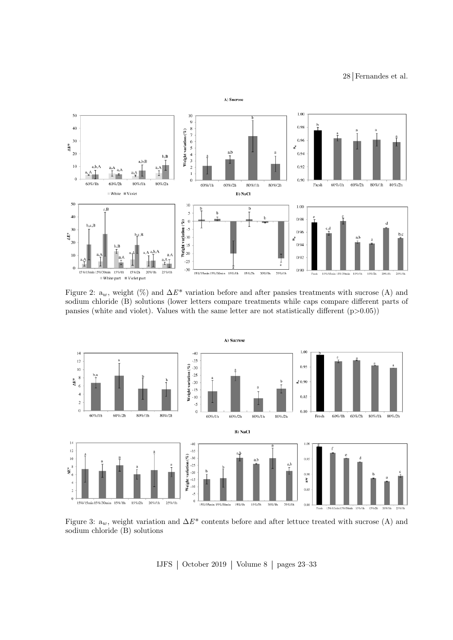28 Fernandes et al.



<span id="page-5-0"></span>Figure 2:  $a_w$ , weight (%) and  $\Delta E^*$  variation before and after pansies treatments with sucrose (A) and sodium chloride (B) solutions (lower letters compare treatments while caps compare different parts of pansies (white and violet). Values with the same letter are not statistically different  $(p>0.05)$ )



<span id="page-5-1"></span>Figure 3:  $a_w$ , weight variation and  $\Delta E^*$  contents before and after lettuce treated with sucrose (A) and sodium chloride (B) solutions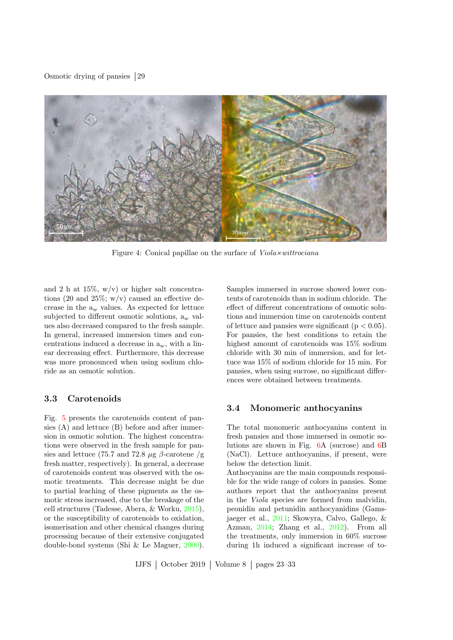

Figure 4: Conical papillae on the surface of  $Viola \times wittrociana$ 

and 2 h at  $15\%$ , w/v) or higher salt concentrations (20 and 25%;  $w/v$ ) caused an effective decrease in the  $a_w$  values. As expected for lettuce subjected to different osmotic solutions,  $a_w$  values also decreased compared to the fresh sample. In general, increased immersion times and concentrations induced a decrease in  $a_w$ , with a linear decreasing effect. Furthermore, this decrease was more pronounced when using sodium chloride as an osmotic solution.

### 3.3 Carotenoids

Fig. [5](#page-7-0) presents the carotenoids content of pansies (A) and lettuce (B) before and after immersion in osmotic solution. The highest concentrations were observed in the fresh sample for pansies and lettuce (75.7 and 72.8  $\mu$ g  $\beta$ -carotene /g fresh matter, respectively). In general, a decrease of carotenoids content was observed with the osmotic treatments. This decrease might be due to partial leaching of these pigments as the osmotic stress increased, due to the breakage of the cell structures (Tadesse, Abera, & Worku, [2015\)](#page-9-12), or the susceptibility of carotenoids to oxidation, isomerisation and other chemical changes during processing because of their extensive conjugated double-bond systems (Shi & Le Maguer, [2000\)](#page-9-13).

<span id="page-6-0"></span>Samples immersed in sucrose showed lower contents of carotenoids than in sodium chloride. The effect of different concentrations of osmotic solutions and immersion time on carotenoids content of lettuce and pansies were significant  $(p < 0.05)$ . For pansies, the best conditions to retain the highest amount of carotenoids was 15% sodium chloride with 30 min of immersion, and for lettuce was 15% of sodium chloride for 15 min. For pansies, when using sucrose, no significant differences were obtained between treatments.

### 3.4 Monomeric anthocyanins

The total monomeric anthocyanins content in fresh pansies and those immersed in osmotic solutions are shown in Fig. [6A](#page-7-1) (sucrose) and [6B](#page-7-1) (NaCl). Lettuce anthocyanins, if present, were below the detection limit.

Anthocyanins are the main compounds responsible for the wide range of colors in pansies. Some authors report that the anthocyanins present in the Viola species are formed from malvidin, peonidin and petunidin anthocyanidins (Gamsjaeger et al., [2011;](#page-8-0) Skowyra, Calvo, Gallego, & Azman, [2014;](#page-9-14) Zhang et al., [2012\)](#page-10-0). From all the treatments, only immersion in 60% sucrose during 1h induced a significant increase of to-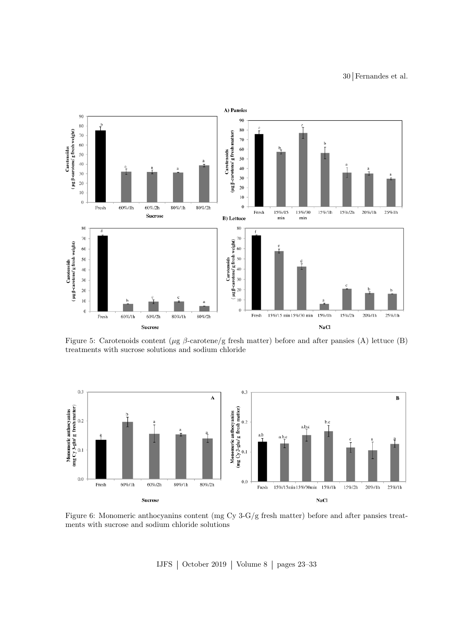30 Fernandes et al.



<span id="page-7-0"></span>Figure 5: Carotenoids content ( $\mu$ g  $\beta$ -carotene/g fresh matter) before and after pansies (A) lettuce (B) treatments with sucrose solutions and sodium chloride



<span id="page-7-1"></span>Figure 6: Monomeric anthocyanins content (mg Cy 3-G/g fresh matter) before and after pansies treatments with sucrose and sodium chloride solutions

IJFS  $\vert$  October 2019  $\vert$  Volume 8  $\vert$  pages 23–33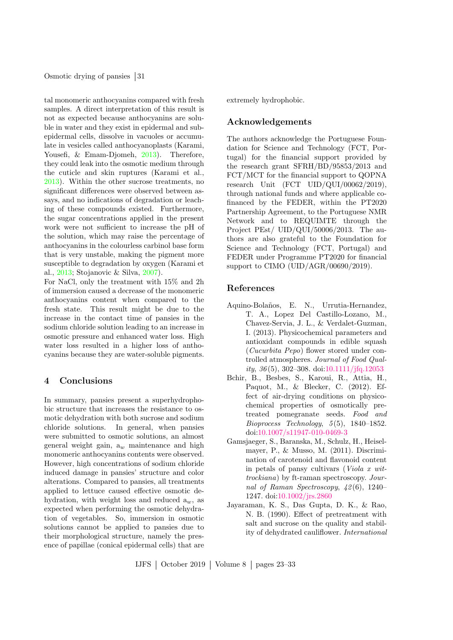tal monomeric anthocyanins compared with fresh samples. A direct interpretation of this result is not as expected because anthocyanins are soluble in water and they exist in epidermal and subepidermal cells, dissolve in vacuoles or accumulate in vesicles called anthocyanoplasts (Karami, Yousefi, & Emam-Djomeh, [2013\)](#page-9-15). Therefore, they could leak into the osmotic medium through the cuticle and skin ruptures (Karami et al., [2013\)](#page-9-15). Within the other sucrose treatments, no significant differences were observed between assays, and no indications of degradation or leaching of these compounds existed. Furthermore, the sugar concentrations applied in the present work were not sufficient to increase the pH of the solution, which may raise the percentage of anthocyanins in the colourless carbinol base form that is very unstable, making the pigment more susceptible to degradation by oxygen (Karami et al., [2013;](#page-9-15) Stojanovic & Silva, [2007\)](#page-9-16).

For NaCl, only the treatment with 15% and 2h of immersion caused a decrease of the monomeric anthocyanins content when compared to the fresh state. This result might be due to the increase in the contact time of pansies in the sodium chloride solution leading to an increase in osmotic pressure and enhanced water loss. High water loss resulted in a higher loss of anthocyanins because they are water-soluble pigments.

### 4 Conclusions

In summary, pansies present a superhydrophobic structure that increases the resistance to osmotic dehydration with both sucrose and sodium chloride solutions. In general, when pansies were submitted to osmotic solutions, an almost general weight gain,  $a_w$  maintenance and high monomeric anthocyanins contents were observed. However, high concentrations of sodium chloride induced damage in pansies' structure and color alterations. Compared to pansies, all treatments applied to lettuce caused effective osmotic dehydration, with weight loss and reduced  $a_w$ , as expected when performing the osmotic dehydration of vegetables. So, immersion in osmotic solutions cannot be applied to pansies due to their morphological structure, namely the presence of papillae (conical epidermal cells) that are extremely hydrophobic.

### Acknowledgements

The authors acknowledge the Portuguese Foundation for Science and Technology (FCT, Portugal) for the financial support provided by the research grant SFRH/BD/95853/2013 and FCT/MCT for the financial support to QOPNA research Unit (FCT UID/QUI/00062/2019), through national funds and where applicable cofinanced by the FEDER, within the PT2020 Partnership Agreement, to the Portuguese NMR Network and to REQUIMTE through the Project PEst/ UID/QUI/50006/2013. The authors are also grateful to the Foundation for Science and Technology (FCT, Portugal) and FEDER under Programme PT2020 for financial support to CIMO (UID/AGR/00690/2019).

### References

- <span id="page-8-2"></span>Aquino-Bolaños, E. N., Urrutia-Hernandez, T. A., Lopez Del Castillo-Lozano, M., Chavez-Servia, J. L., & Verdalet-Guzman, I. (2013). Physicochemical parameters and antioxidant compounds in edible squash (Cucurbita Pepo) flower stored under controlled atmospheres. Journal of Food Quality,  $36(5)$ ,  $302-308$ . doi[:10.1111/jfq.12053](https://dx.doi.org/10.1111/jfq.12053)
- <span id="page-8-3"></span>Bchir, B., Besbes, S., Karoui, R., Attia, H., Paquot, M., & Blecker, C. (2012). Effect of air-drying conditions on physicochemical properties of osmotically pretreated pomegranate seeds. Food and  $Bioprocess\, Technology,\,5(5),\,1840-1852.$ doi[:10.1007/s11947-010-0469-3](https://dx.doi.org/10.1007/s11947-010-0469-3)
- <span id="page-8-0"></span>Gamsjaeger, S., Baranska, M., Schulz, H., Heiselmayer, P., & Musso, M. (2011). Discrimination of carotenoid and flavonoid content in petals of pansy cultivars (Viola x wittrockiana) by ft-raman spectroscopy. Journal of Raman Spectroscopy, 42 (6), 1240– 1247. doi[:10.1002/jrs.2860](https://dx.doi.org/10.1002/jrs.2860)
- <span id="page-8-1"></span>Jayaraman, K. S., Das Gupta, D. K., & Rao, N. B. (1990). Effect of pretreatment with salt and sucrose on the quality and stability of dehydrated cauliflower. International

IJFS  $\vert$  October 2019  $\vert$  Volume 8  $\vert$  pages 23–33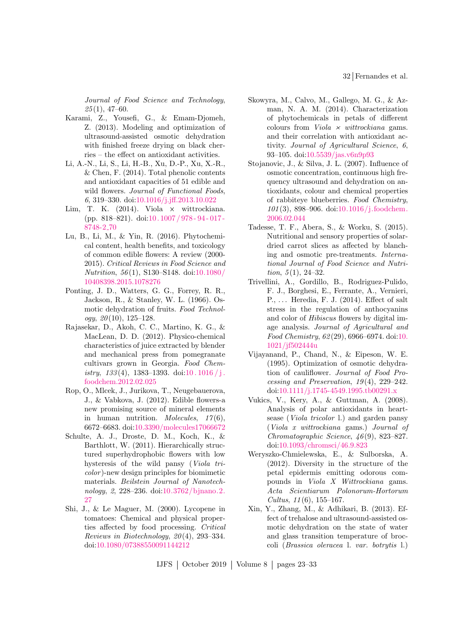32 Fernandes et al.

Journal of Food Science and Technology,  $25(1), 47-60.$ 

- <span id="page-9-15"></span>Karami, Z., Yousefi, G., & Emam-Djomeh, Z. (2013). Modeling and optimization of ultrasound-assisted osmotic dehydration with finished freeze drying on black cherries – the effect on antioxidant activities.
- <span id="page-9-6"></span>Li, A.-N., Li, S., Li, H.-B., Xu, D.-P., Xu, X.-R., & Chen, F. (2014). Total phenolic contents and antioxidant capacities of 51 edible and wild flowers. Journal of Functional Foods, 6, 319–330. doi[:10.1016/j.jff.2013.10.022](https://dx.doi.org/10.1016/j.jff.2013.10.022)
- <span id="page-9-0"></span>Lim, T. K.  $(2014)$ . Viola  $\times$  wittrockiana. (pp. 818–821). doi[:10. 1007 / 978 - 94 - 017 -](https://dx.doi.org/10.1007/978-94-017-8748-2_70) [8748-2](https://dx.doi.org/10.1007/978-94-017-8748-2_70) 70
- <span id="page-9-3"></span>Lu, B., Li, M., & Yin, R. (2016). Phytochemical content, health benefits, and toxicology of common edible flowers: A review (2000- 2015). Critical Reviews in Food Science and Nutrition, 56 (1), S130–S148. doi[:10.1080/](https://dx.doi.org/10.1080/10408398.2015.1078276) [10408398.2015.1078276](https://dx.doi.org/10.1080/10408398.2015.1078276)
- <span id="page-9-11"></span>Ponting, J. D., Watters, G. G., Forrey, R. R., Jackson, R., & Stanley, W. L. (1966). Osmotic dehydration of fruits. Food Technol $ogy, 20(10), 125-128.$
- <span id="page-9-7"></span>Rajasekar, D., Akoh, C. C., Martino, K. G., & MacLean, D. D. (2012). Physico-chemical characteristics of juice extracted by blender and mechanical press from pomegranate cultivars grown in Georgia. Food Chemistry,  $133(4)$ , 1383-1393. doi:10.1016/j. [foodchem.2012.02.025](https://dx.doi.org/10.1016/j.foodchem.2012.02.025)
- <span id="page-9-1"></span>Rop, O., Mlcek, J., Jurikova, T., Neugebauerova, J., & Vabkova, J. (2012). Edible flowers-a new promising source of mineral elements in human nutrition. *Molecules*,  $17(6)$ , 6672–6683. doi[:10.3390/molecules17066672](https://dx.doi.org/10.3390/molecules17066672)
- <span id="page-9-10"></span>Schulte, A. J., Droste, D. M., Koch, K., & Barthlott, W. (2011). Hierarchically structured superhydrophobic flowers with low hysteresis of the wild pansy (Viola tricolor )-new design principles for biomimetic materials. Beilstein Journal of Nanotechnology, 2, 228–236. doi[:10.3762/bjnano.2.](https://dx.doi.org/10.3762/bjnano.2.27) [27](https://dx.doi.org/10.3762/bjnano.2.27)
- <span id="page-9-13"></span>Shi, J., & Le Maguer, M. (2000). Lycopene in tomatoes: Chemical and physical properties affected by food processing. Critical Reviews in Biotechnology,  $20(4)$ , 293-334. doi[:10.1080/07388550091144212](https://dx.doi.org/10.1080/07388550091144212)
- <span id="page-9-14"></span>Skowyra, M., Calvo, M., Gallego, M. G., & Azman, N. A. M. (2014). Characterization of phytochemicals in petals of different colours from  $Viola \times wittrockiana$  gams. and their correlation with antioxidant activity. Journal of Agricultural Science, 6, 93–105. doi[:10.5539/jas.v6n9p93](https://dx.doi.org/10.5539/jas.v6n9p93)
- <span id="page-9-16"></span>Stojanovic, J., & Silva, J. L. (2007). Influence of osmotic concentration, continuous high frequency ultrasound and dehydration on antioxidants, colour and chemical properties of rabbiteye blueberries. Food Chemistry, 101 (3), 898–906. doi[:10.1016/j.foodchem.](https://dx.doi.org/10.1016/j.foodchem.2006.02.044) [2006.02.044](https://dx.doi.org/10.1016/j.foodchem.2006.02.044)
- <span id="page-9-12"></span>Tadesse, T. F., Abera, S., & Worku, S. (2015). Nutritional and sensory properties of solardried carrot slices as affected by blanching and osmotic pre-treatments. International Journal of Food Science and Nutrition,  $5(1)$ ,  $24-32$ .
- <span id="page-9-8"></span>Trivellini, A., Gordillo, B., Rodriguez-Pulido, F. J., Borghesi, E., Ferrante, A., Vernieri, P., . . . Heredia, F. J. (2014). Effect of salt stress in the regulation of anthocyanins and color of Hibiscus flowers by digital image analysis. Journal of Agricultural and Food Chemistry, 62 (29), 6966–6974. doi[:10.](https://dx.doi.org/10.1021/jf502444u) [1021/jf502444u](https://dx.doi.org/10.1021/jf502444u)
- <span id="page-9-5"></span>Vijayanand, P., Chand, N., & Eipeson, W. E. (1995). Optimization of osmotic dehydration of cauliflower. Journal of Food Processing and Preservation,  $19(4)$ ,  $229-242$ . doi[:10.1111/j.1745-4549.1995.tb00291.x](https://dx.doi.org/10.1111/j.1745-4549.1995.tb00291.x)
- <span id="page-9-2"></span>Vukics, V., Kery, A., & Guttman, A. (2008). Analysis of polar antioxidants in heartsease (Viola tricolor l.) and garden pansy (Viola x wittrockiana gams.) Journal of Chromatographic Science, 46 (9), 823–827. doi[:10.1093/chromsci/46.9.823](https://dx.doi.org/10.1093/chromsci/46.9.823)
- <span id="page-9-9"></span>Weryszko-Chmielewska, E., & Sulborska, A. (2012). Diversity in the structure of the petal epidermis emitting odorous compounds in Viola X Wittrockiana gams. Acta Scientiarum Polonorum-Hortorum Cultus,  $11(6)$ , 155–167.
- <span id="page-9-4"></span>Xin, Y., Zhang, M., & Adhikari, B. (2013). Effect of trehalose and ultrasound-assisted osmotic dehydration on the state of water and glass transition temperature of broccoli (Brassica oleracea l. var. botrytis l.)

IJFS  $\vert$  October 2019  $\vert$  Volume 8  $\vert$  pages 23–33